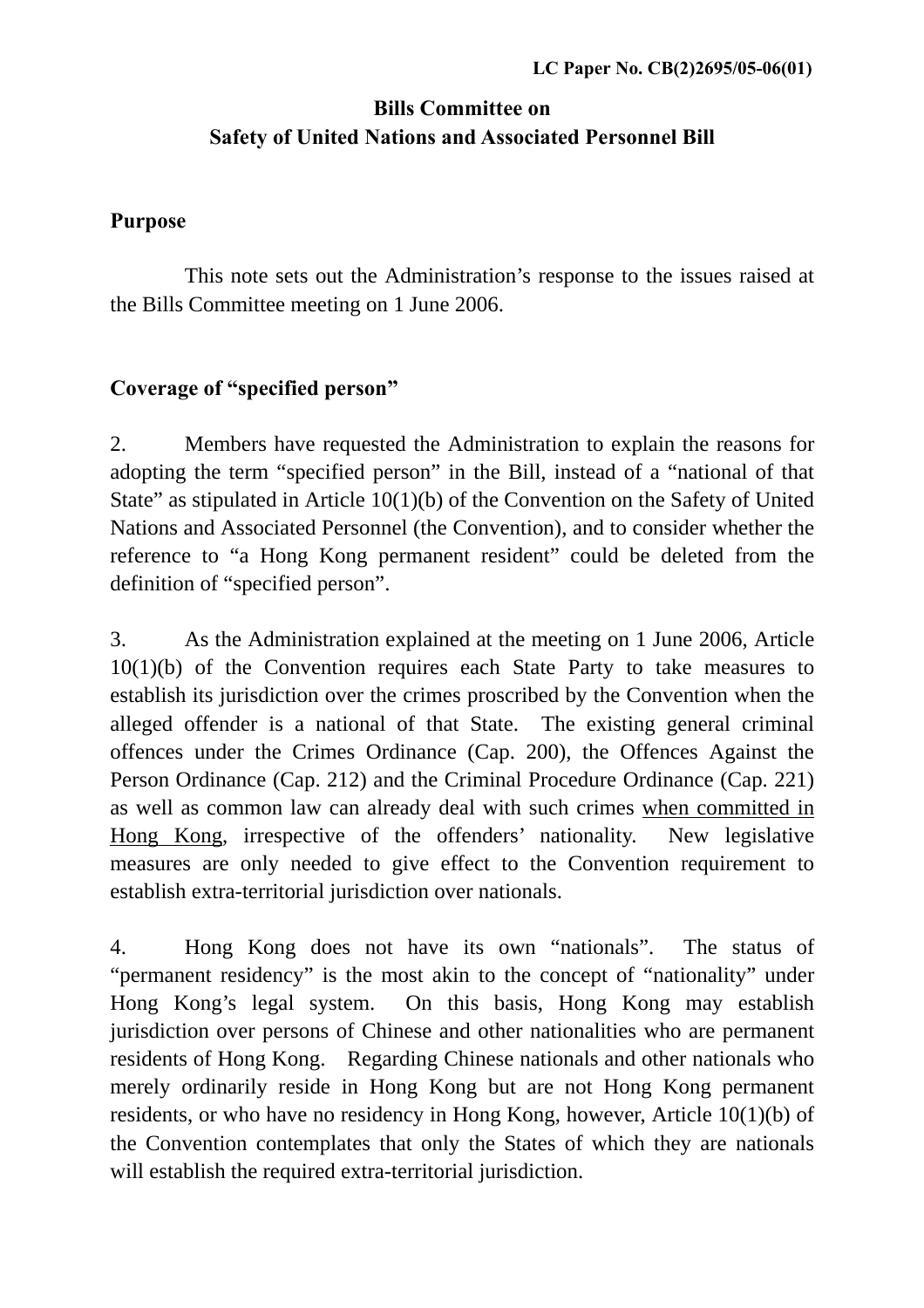# **Bills Committee on Safety of United Nations and Associated Personnel Bill**

#### **Purpose**

 This note sets out the Administration's response to the issues raised at the Bills Committee meeting on 1 June 2006.

## **Coverage of "specified person"**

2. Members have requested the Administration to explain the reasons for adopting the term "specified person" in the Bill, instead of a "national of that State" as stipulated in Article 10(1)(b) of the Convention on the Safety of United Nations and Associated Personnel (the Convention), and to consider whether the reference to "a Hong Kong permanent resident" could be deleted from the definition of "specified person".

3. As the Administration explained at the meeting on 1 June 2006, Article 10(1)(b) of the Convention requires each State Party to take measures to establish its jurisdiction over the crimes proscribed by the Convention when the alleged offender is a national of that State. The existing general criminal offences under the Crimes Ordinance (Cap. 200), the Offences Against the Person Ordinance (Cap. 212) and the Criminal Procedure Ordinance (Cap. 221) as well as common law can already deal with such crimes when committed in Hong Kong, irrespective of the offenders' nationality. New legislative measures are only needed to give effect to the Convention requirement to establish extra-territorial jurisdiction over nationals.

4. Hong Kong does not have its own "nationals". The status of "permanent residency" is the most akin to the concept of "nationality" under Hong Kong's legal system. On this basis, Hong Kong may establish jurisdiction over persons of Chinese and other nationalities who are permanent residents of Hong Kong. Regarding Chinese nationals and other nationals who merely ordinarily reside in Hong Kong but are not Hong Kong permanent residents, or who have no residency in Hong Kong, however, Article 10(1)(b) of the Convention contemplates that only the States of which they are nationals will establish the required extra-territorial jurisdiction.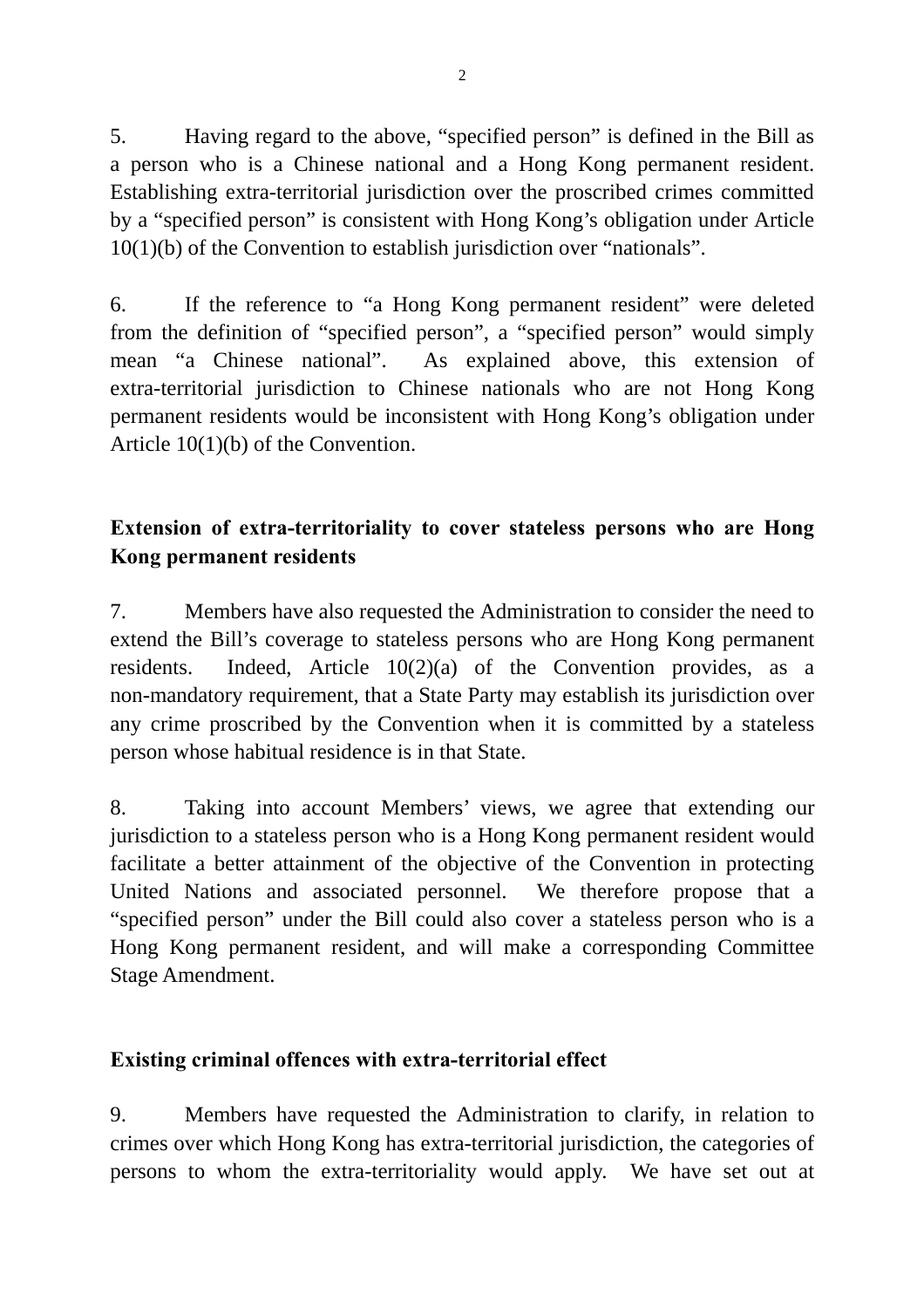5. Having regard to the above, "specified person" is defined in the Bill as a person who is a Chinese national and a Hong Kong permanent resident. Establishing extra-territorial jurisdiction over the proscribed crimes committed by a "specified person" is consistent with Hong Kong's obligation under Article 10(1)(b) of the Convention to establish jurisdiction over "nationals".

6. If the reference to "a Hong Kong permanent resident" were deleted from the definition of "specified person", a "specified person" would simply mean "a Chinese national". As explained above, this extension of extra-territorial jurisdiction to Chinese nationals who are not Hong Kong permanent residents would be inconsistent with Hong Kong's obligation under Article 10(1)(b) of the Convention.

# **Extension of extra-territoriality to cover stateless persons who are Hong Kong permanent residents**

7. Members have also requested the Administration to consider the need to extend the Bill's coverage to stateless persons who are Hong Kong permanent residents. Indeed, Article 10(2)(a) of the Convention provides, as a non-mandatory requirement, that a State Party may establish its jurisdiction over any crime proscribed by the Convention when it is committed by a stateless person whose habitual residence is in that State.

8. Taking into account Members' views, we agree that extending our jurisdiction to a stateless person who is a Hong Kong permanent resident would facilitate a better attainment of the objective of the Convention in protecting United Nations and associated personnel. We therefore propose that a "specified person" under the Bill could also cover a stateless person who is a Hong Kong permanent resident, and will make a corresponding Committee Stage Amendment.

#### **Existing criminal offences with extra-territorial effect**

9. Members have requested the Administration to clarify, in relation to crimes over which Hong Kong has extra-territorial jurisdiction, the categories of persons to whom the extra-territoriality would apply. We have set out at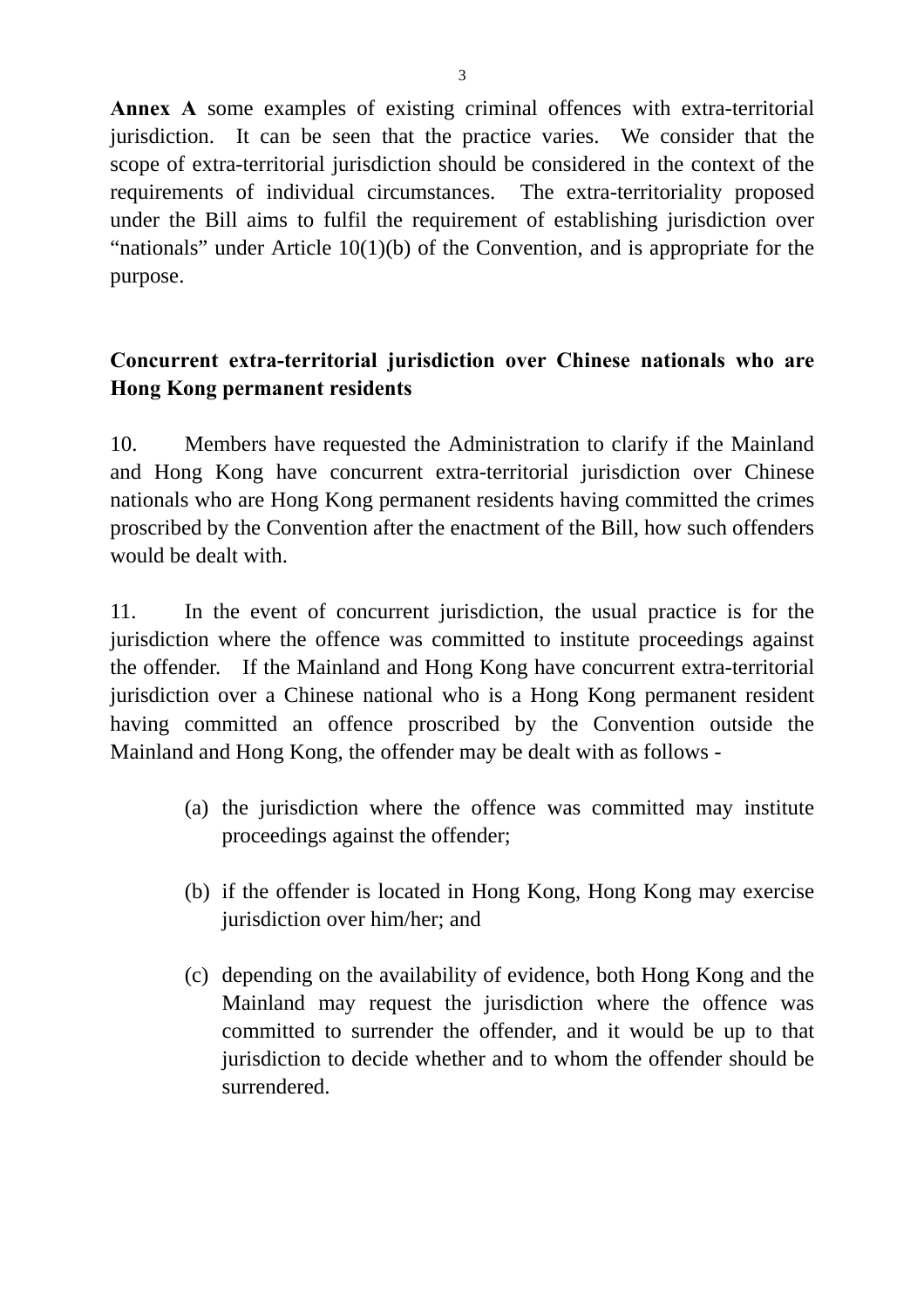**Annex A** some examples of existing criminal offences with extra-territorial jurisdiction. It can be seen that the practice varies. We consider that the scope of extra-territorial jurisdiction should be considered in the context of the requirements of individual circumstances. The extra-territoriality proposed under the Bill aims to fulfil the requirement of establishing jurisdiction over "nationals" under Article 10(1)(b) of the Convention, and is appropriate for the purpose.

## **Concurrent extra-territorial jurisdiction over Chinese nationals who are Hong Kong permanent residents**

10. Members have requested the Administration to clarify if the Mainland and Hong Kong have concurrent extra-territorial jurisdiction over Chinese nationals who are Hong Kong permanent residents having committed the crimes proscribed by the Convention after the enactment of the Bill, how such offenders would be dealt with.

11. In the event of concurrent jurisdiction, the usual practice is for the jurisdiction where the offence was committed to institute proceedings against the offender. If the Mainland and Hong Kong have concurrent extra-territorial jurisdiction over a Chinese national who is a Hong Kong permanent resident having committed an offence proscribed by the Convention outside the Mainland and Hong Kong, the offender may be dealt with as follows -

- (a) the jurisdiction where the offence was committed may institute proceedings against the offender;
- (b) if the offender is located in Hong Kong, Hong Kong may exercise jurisdiction over him/her; and
- (c) depending on the availability of evidence, both Hong Kong and the Mainland may request the jurisdiction where the offence was committed to surrender the offender, and it would be up to that jurisdiction to decide whether and to whom the offender should be surrendered.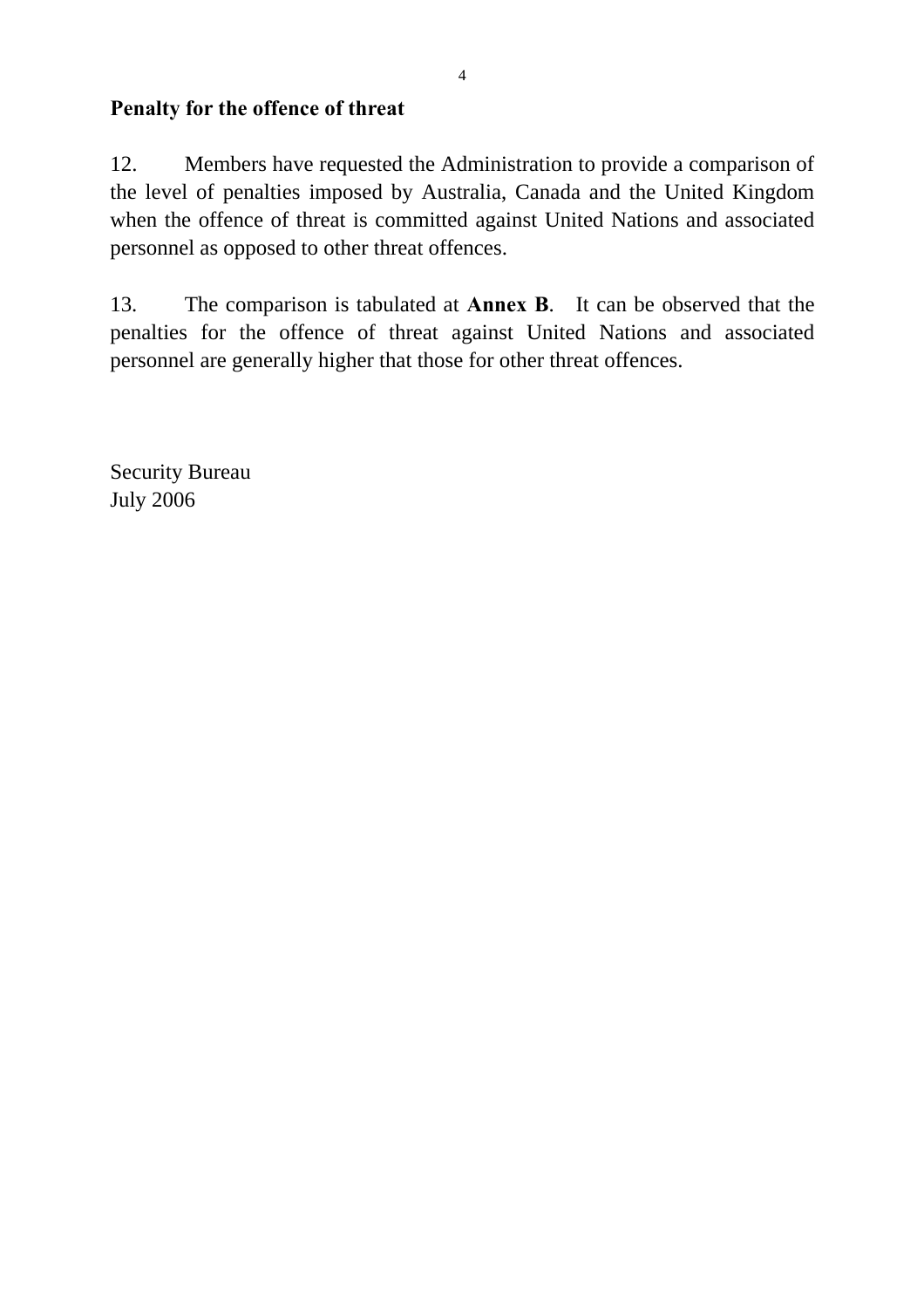### **Penalty for the offence of threat**

12. Members have requested the Administration to provide a comparison of the level of penalties imposed by Australia, Canada and the United Kingdom when the offence of threat is committed against United Nations and associated personnel as opposed to other threat offences.

13. The comparison is tabulated at **Annex B**. It can be observed that the penalties for the offence of threat against United Nations and associated personnel are generally higher that those for other threat offences.

Security Bureau July 2006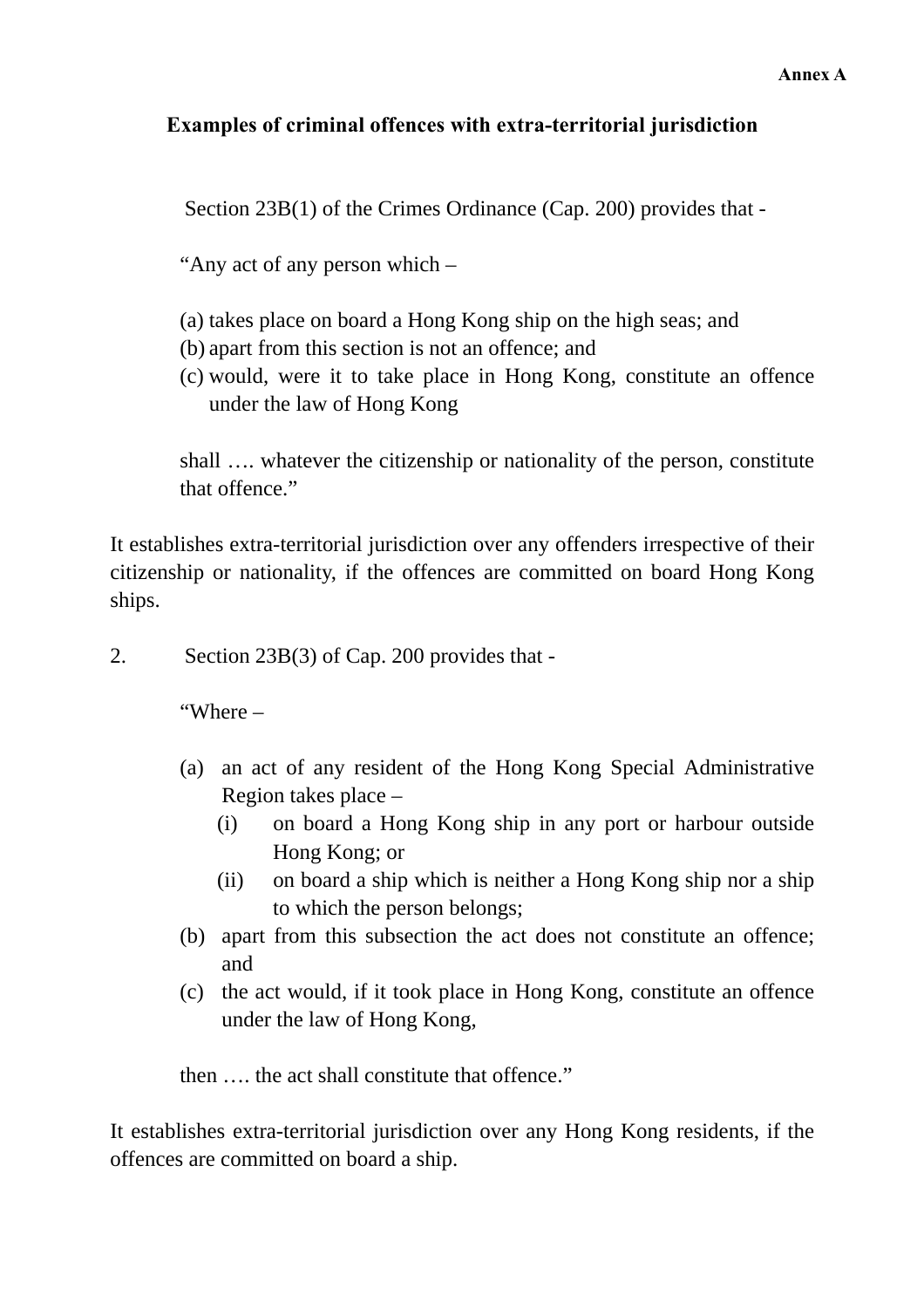#### **Examples of criminal offences with extra-territorial jurisdiction**

Section 23B(1) of the Crimes Ordinance (Cap. 200) provides that -

"Any act of any person which –

- (a) takes place on board a Hong Kong ship on the high seas; and
- (b) apart from this section is not an offence; and
- (c) would, were it to take place in Hong Kong, constitute an offence under the law of Hong Kong

shall …. whatever the citizenship or nationality of the person, constitute that offence."

It establishes extra-territorial jurisdiction over any offenders irrespective of their citizenship or nationality, if the offences are committed on board Hong Kong ships.

2. Section 23B(3) of Cap. 200 provides that -

"Where –

- (a) an act of any resident of the Hong Kong Special Administrative Region takes place –
	- (i) on board a Hong Kong ship in any port or harbour outside Hong Kong; or
	- (ii) on board a ship which is neither a Hong Kong ship nor a ship to which the person belongs;
- (b) apart from this subsection the act does not constitute an offence; and
- (c) the act would, if it took place in Hong Kong, constitute an offence under the law of Hong Kong,

then …. the act shall constitute that offence."

It establishes extra-territorial jurisdiction over any Hong Kong residents, if the offences are committed on board a ship.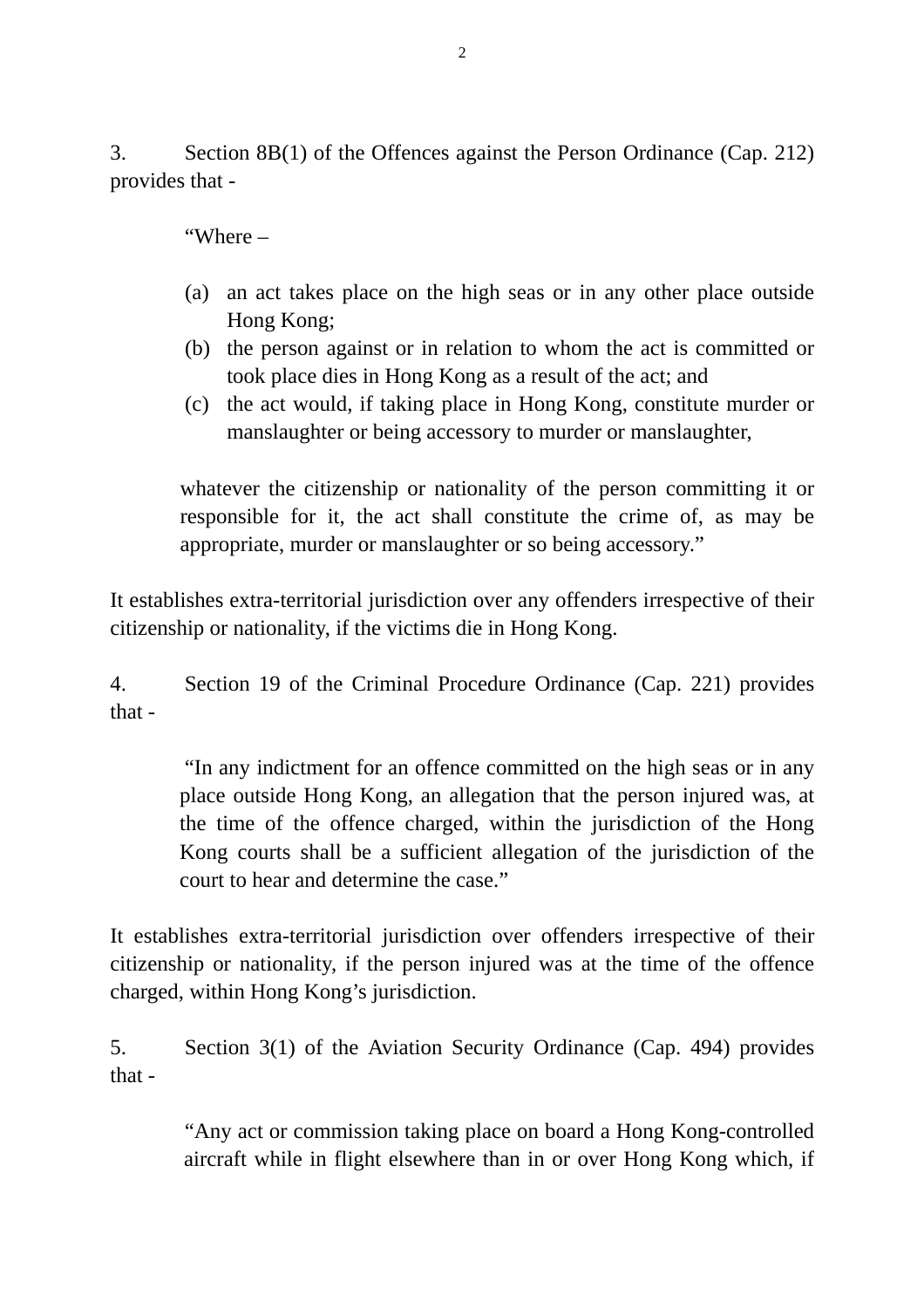3. Section 8B(1) of the Offences against the Person Ordinance (Cap. 212) provides that -

"Where –

- (a) an act takes place on the high seas or in any other place outside Hong Kong;
- (b) the person against or in relation to whom the act is committed or took place dies in Hong Kong as a result of the act; and
- (c) the act would, if taking place in Hong Kong, constitute murder or manslaughter or being accessory to murder or manslaughter,

whatever the citizenship or nationality of the person committing it or responsible for it, the act shall constitute the crime of, as may be appropriate, murder or manslaughter or so being accessory."

It establishes extra-territorial jurisdiction over any offenders irrespective of their citizenship or nationality, if the victims die in Hong Kong.

4. Section 19 of the Criminal Procedure Ordinance (Cap. 221) provides that -

 "In any indictment for an offence committed on the high seas or in any place outside Hong Kong, an allegation that the person injured was, at the time of the offence charged, within the jurisdiction of the Hong Kong courts shall be a sufficient allegation of the jurisdiction of the court to hear and determine the case."

It establishes extra-territorial jurisdiction over offenders irrespective of their citizenship or nationality, if the person injured was at the time of the offence charged, within Hong Kong's jurisdiction.

5. Section 3(1) of the Aviation Security Ordinance (Cap. 494) provides that -

> "Any act or commission taking place on board a Hong Kong-controlled aircraft while in flight elsewhere than in or over Hong Kong which, if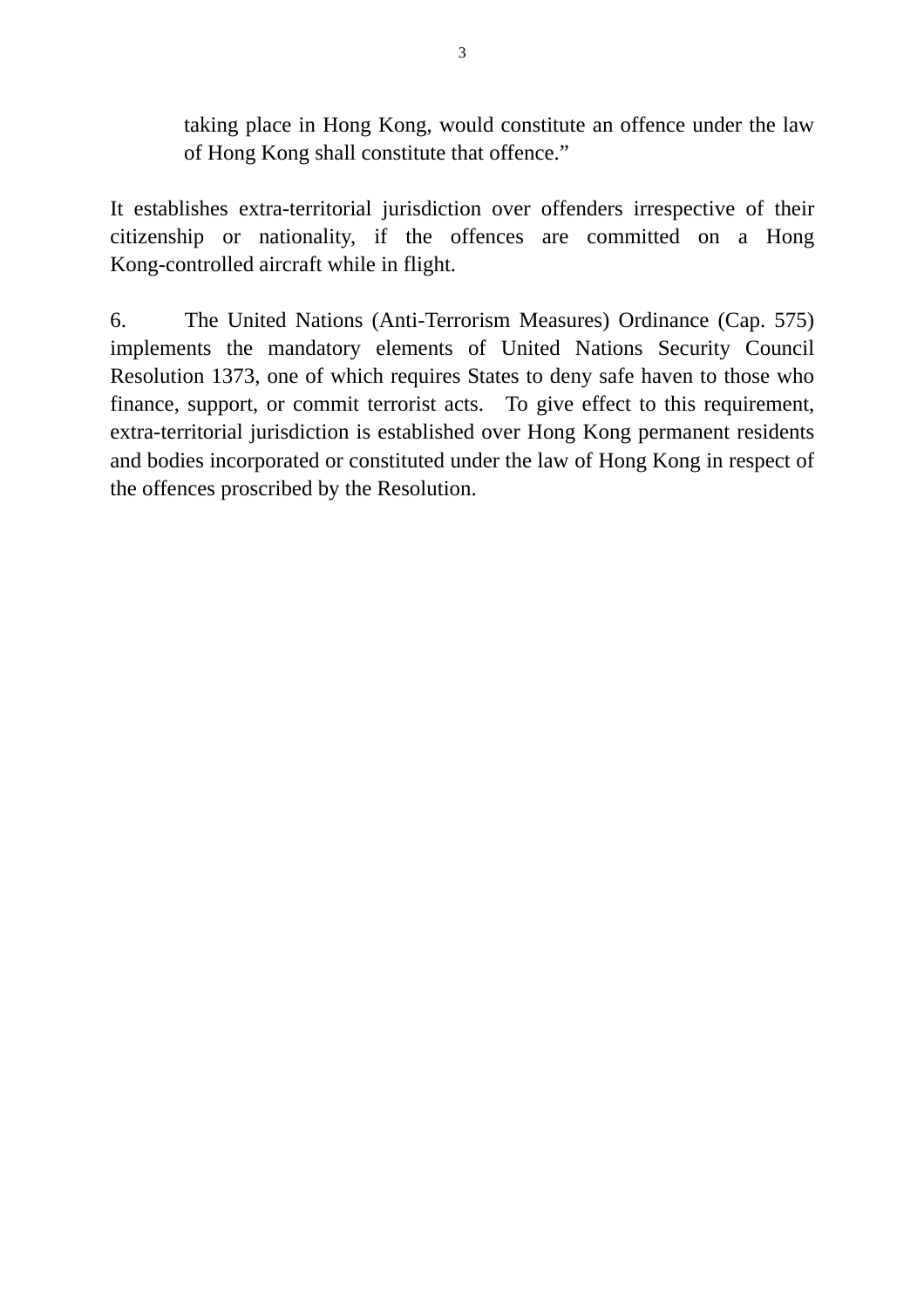taking place in Hong Kong, would constitute an offence under the law of Hong Kong shall constitute that offence."

It establishes extra-territorial jurisdiction over offenders irrespective of their citizenship or nationality, if the offences are committed on a Hong Kong-controlled aircraft while in flight.

6. The United Nations (Anti-Terrorism Measures) Ordinance (Cap. 575) implements the mandatory elements of United Nations Security Council Resolution 1373, one of which requires States to deny safe haven to those who finance, support, or commit terrorist acts. To give effect to this requirement, extra-territorial jurisdiction is established over Hong Kong permanent residents and bodies incorporated or constituted under the law of Hong Kong in respect of the offences proscribed by the Resolution.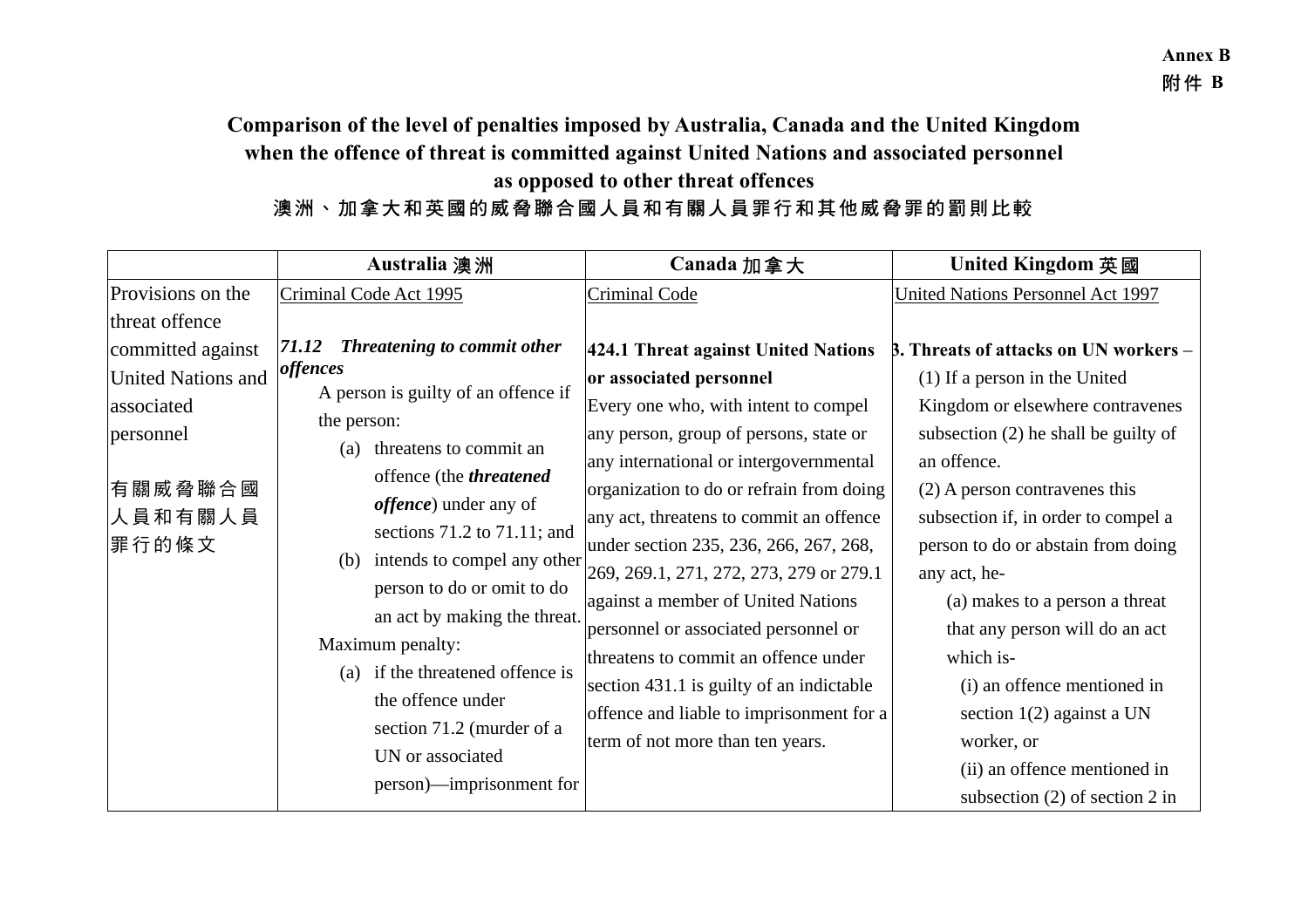# **Comparison of the level of penalties imposed by Australia, Canada and the United Kingdom when the offence of threat is committed against United Nations and associated personnel as opposed to other threat offences**

# 澳洲、加拿大和英國的威脅聯合國人員和有關人員罪行和其他威脅罪的罰則比較

|                                                                                                 | Australia 澳洲                                                                                                                                                                                                                                                                                 | Canada 加拿大                                                                                                                                                                                                                                                                                                                          | <b>United Kingdom 英國</b>                                                                                                                                                                                                                                                            |
|-------------------------------------------------------------------------------------------------|----------------------------------------------------------------------------------------------------------------------------------------------------------------------------------------------------------------------------------------------------------------------------------------------|-------------------------------------------------------------------------------------------------------------------------------------------------------------------------------------------------------------------------------------------------------------------------------------------------------------------------------------|-------------------------------------------------------------------------------------------------------------------------------------------------------------------------------------------------------------------------------------------------------------------------------------|
| Provisions on the                                                                               | Criminal Code Act 1995                                                                                                                                                                                                                                                                       | Criminal Code                                                                                                                                                                                                                                                                                                                       | United Nations Personnel Act 1997                                                                                                                                                                                                                                                   |
| threat offence                                                                                  |                                                                                                                                                                                                                                                                                              |                                                                                                                                                                                                                                                                                                                                     |                                                                                                                                                                                                                                                                                     |
| committed against<br><b>United Nations and</b><br>associated<br>personnel<br>有關威脅聯合國<br>人員和有關人員 | <b>Threatening to commit other</b><br>71.12<br>offences<br>A person is guilty of an offence if<br>the person:<br>threatens to commit an<br>(a)<br>offence (the <i>threatened</i><br><i>offence</i> ) under any of                                                                            | 424.1 Threat against United Nations<br>or associated personnel<br>Every one who, with intent to compel<br>any person, group of persons, state or<br>any international or intergovernmental<br>organization to do or refrain from doing<br>any act, threatens to commit an offence                                                   | <b>B.</b> Threats of attacks on UN workers –<br>(1) If a person in the United<br>Kingdom or elsewhere contravenes<br>subsection $(2)$ he shall be guilty of<br>an offence.<br>$(2)$ A person contravenes this<br>subsection if, in order to compel a                                |
| 罪行的條文                                                                                           | sections 71.2 to 71.11; and<br>intends to compel any other<br>(b)<br>person to do or omit to do<br>an act by making the threat.<br>Maximum penalty:<br>if the threatened offence is<br>(a)<br>the offence under<br>section 71.2 (murder of a<br>UN or associated<br>person)—imprisonment for | under section 235, 236, 266, 267, 268,<br>269, 269.1, 271, 272, 273, 279 or 279.1<br>against a member of United Nations<br>personnel or associated personnel or<br>threatens to commit an offence under<br>section 431.1 is guilty of an indictable<br>offence and liable to imprisonment for a<br>term of not more than ten years. | person to do or abstain from doing<br>any act, he-<br>(a) makes to a person a threat<br>that any person will do an act<br>which is-<br>(i) an offence mentioned in<br>section $1(2)$ against a UN<br>worker, or<br>(ii) an offence mentioned in<br>subsection $(2)$ of section 2 in |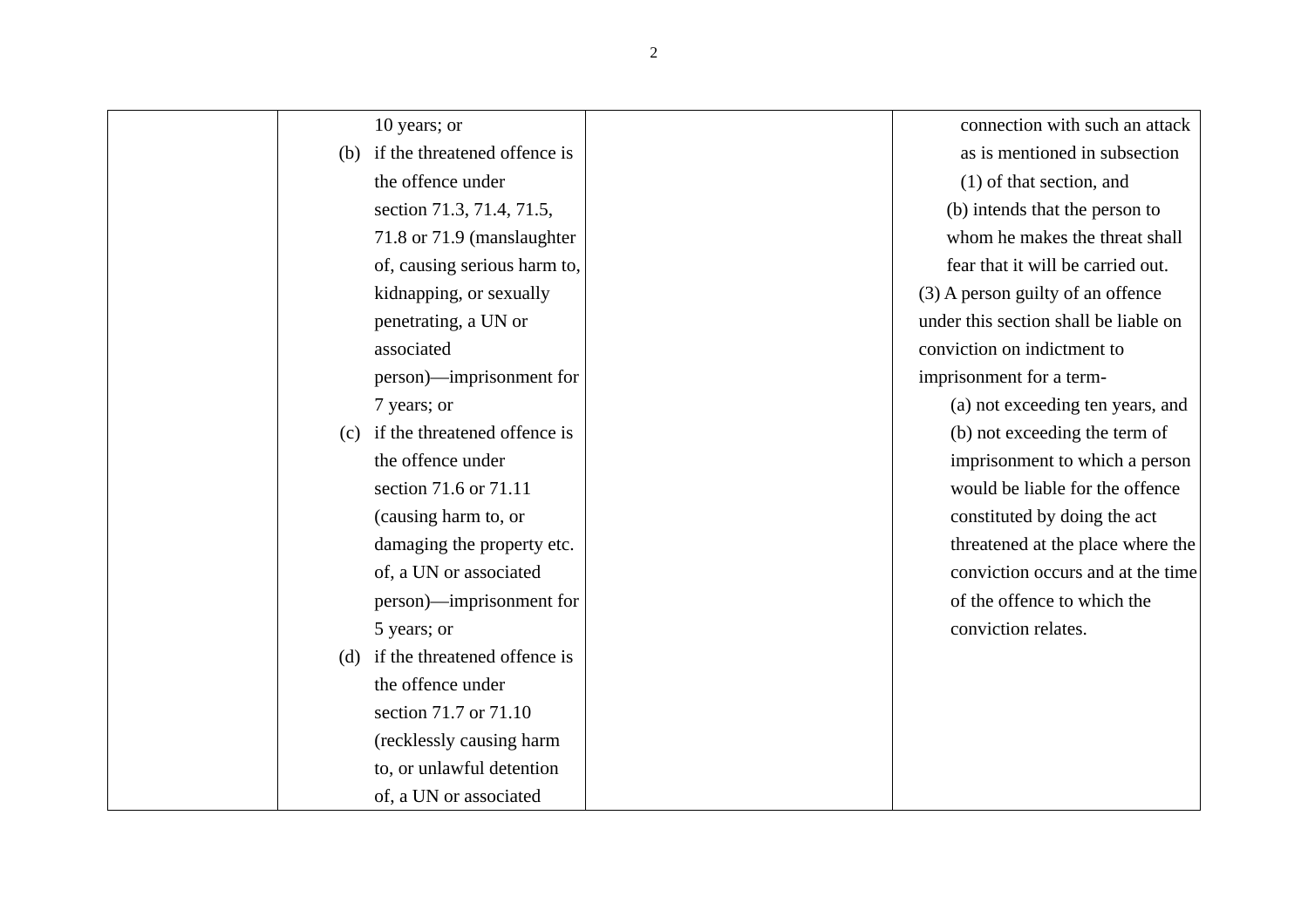| 10 years; or                        | connection with such an attack        |
|-------------------------------------|---------------------------------------|
| (b) if the threatened offence is    | as is mentioned in subsection         |
| the offence under                   | (1) of that section, and              |
| section 71.3, 71.4, 71.5,           | (b) intends that the person to        |
| 71.8 or 71.9 (manslaughter          | whom he makes the threat shall        |
| of, causing serious harm to,        | fear that it will be carried out.     |
| kidnapping, or sexually             | (3) A person guilty of an offence     |
| penetrating, a UN or                | under this section shall be liable on |
| associated                          | conviction on indictment to           |
| person)—imprisonment for            | imprisonment for a term-              |
| 7 years; or                         | (a) not exceeding ten years, and      |
| if the threatened offence is<br>(c) | (b) not exceeding the term of         |
| the offence under                   | imprisonment to which a person        |
| section 71.6 or 71.11               | would be liable for the offence       |
| (causing harm to, or                | constituted by doing the act          |
| damaging the property etc.          | threatened at the place where the     |
| of, a UN or associated              | conviction occurs and at the time     |
| person)—imprisonment for            | of the offence to which the           |
| 5 years; or                         | conviction relates.                   |
| (d) if the threatened offence is    |                                       |
| the offence under                   |                                       |
| section 71.7 or 71.10               |                                       |
| (recklessly causing harm            |                                       |
| to, or unlawful detention           |                                       |
| of, a UN or associated              |                                       |
|                                     |                                       |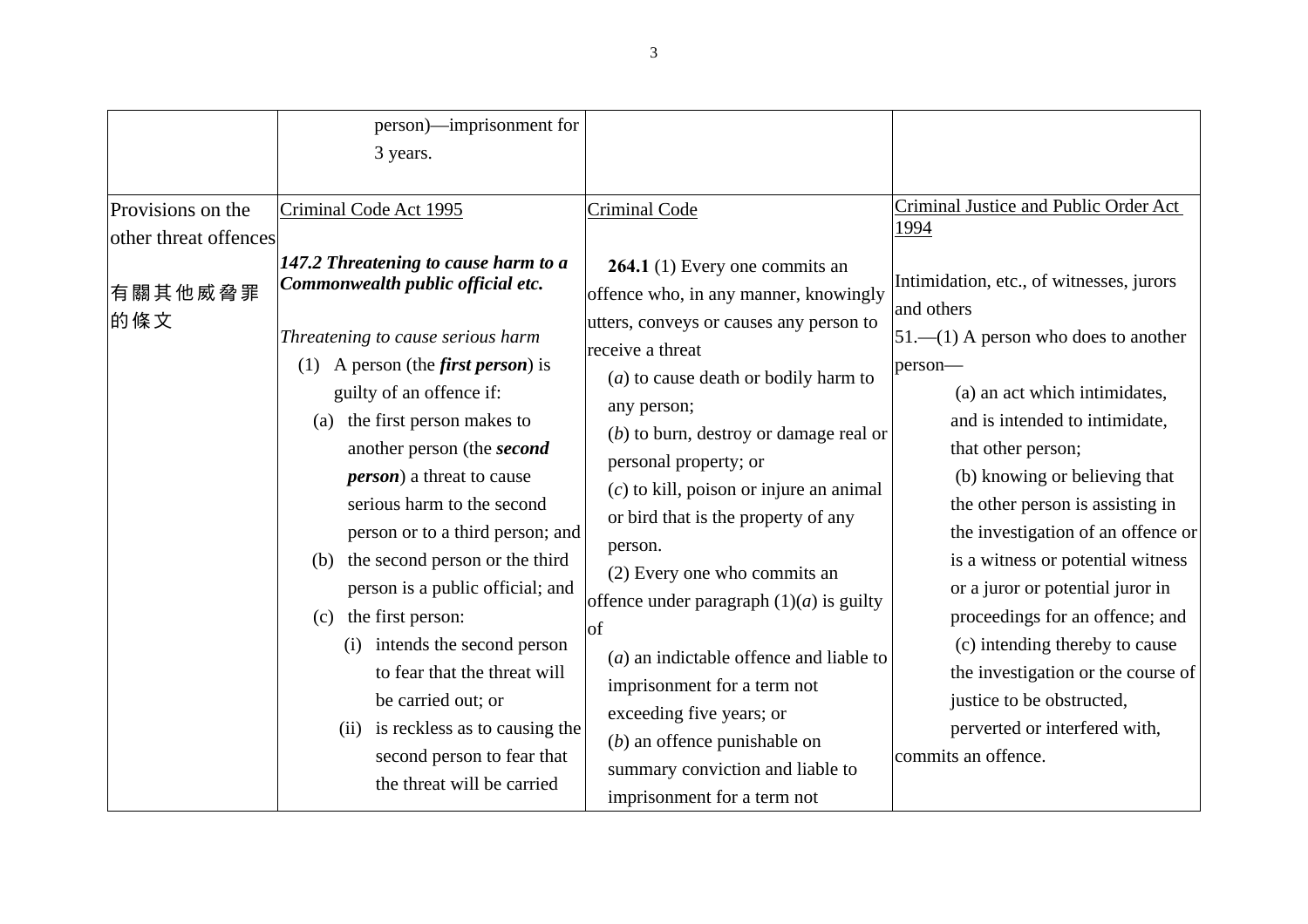| Provisions on the                       | person)—imprisonment for<br>3 years.                                                                                                                                                                                                                                                                                                                                                                                                                                                                                                                                                                                                                                                                    |                                                                                                                                                                                                                                                                                                                                                                                                                                                                                                                                                                                                                                                                                        | Criminal Justice and Public Order Act                                                                                                                                                                                                                                                                                                                                                                                                                                                                                                                                                             |
|-----------------------------------------|---------------------------------------------------------------------------------------------------------------------------------------------------------------------------------------------------------------------------------------------------------------------------------------------------------------------------------------------------------------------------------------------------------------------------------------------------------------------------------------------------------------------------------------------------------------------------------------------------------------------------------------------------------------------------------------------------------|----------------------------------------------------------------------------------------------------------------------------------------------------------------------------------------------------------------------------------------------------------------------------------------------------------------------------------------------------------------------------------------------------------------------------------------------------------------------------------------------------------------------------------------------------------------------------------------------------------------------------------------------------------------------------------------|---------------------------------------------------------------------------------------------------------------------------------------------------------------------------------------------------------------------------------------------------------------------------------------------------------------------------------------------------------------------------------------------------------------------------------------------------------------------------------------------------------------------------------------------------------------------------------------------------|
| other threat offences<br>有關其他威脅罪<br>的條文 | Criminal Code Act 1995<br>147.2 Threatening to cause harm to a<br>Commonwealth public official etc.<br>Threatening to cause serious harm<br>(1) A person (the <i>first person</i> ) is<br>guilty of an offence if:<br>the first person makes to<br>(a)<br>another person (the <i>second</i><br><i>person</i> ) a threat to cause<br>serious harm to the second<br>person or to a third person; and<br>the second person or the third<br>(b)<br>person is a public official; and<br>the first person:<br>(c)<br>intends the second person<br>(i)<br>to fear that the threat will<br>be carried out; or<br>(ii) is reckless as to causing the<br>second person to fear that<br>the threat will be carried | Criminal Code<br>264.1 (1) Every one commits an<br>offence who, in any manner, knowingly<br>utters, conveys or causes any person to<br>receive a threat<br>$(a)$ to cause death or bodily harm to<br>any person;<br>$(b)$ to burn, destroy or damage real or<br>personal property; or<br>$(c)$ to kill, poison or injure an animal<br>or bird that is the property of any<br>person.<br>(2) Every one who commits an<br>offence under paragraph $(1)(a)$ is guilty<br>lof<br>$(a)$ an indictable offence and liable to<br>imprisonment for a term not<br>exceeding five years; or<br>$(b)$ an offence punishable on<br>summary conviction and liable to<br>imprisonment for a term not | 1994<br>Intimidation, etc., of witnesses, jurors<br>and others<br>$51$ .—(1) A person who does to another<br>person-<br>(a) an act which intimidates,<br>and is intended to intimidate,<br>that other person;<br>(b) knowing or believing that<br>the other person is assisting in<br>the investigation of an offence or<br>is a witness or potential witness<br>or a juror or potential juror in<br>proceedings for an offence; and<br>(c) intending thereby to cause<br>the investigation or the course of<br>justice to be obstructed,<br>perverted or interfered with,<br>commits an offence. |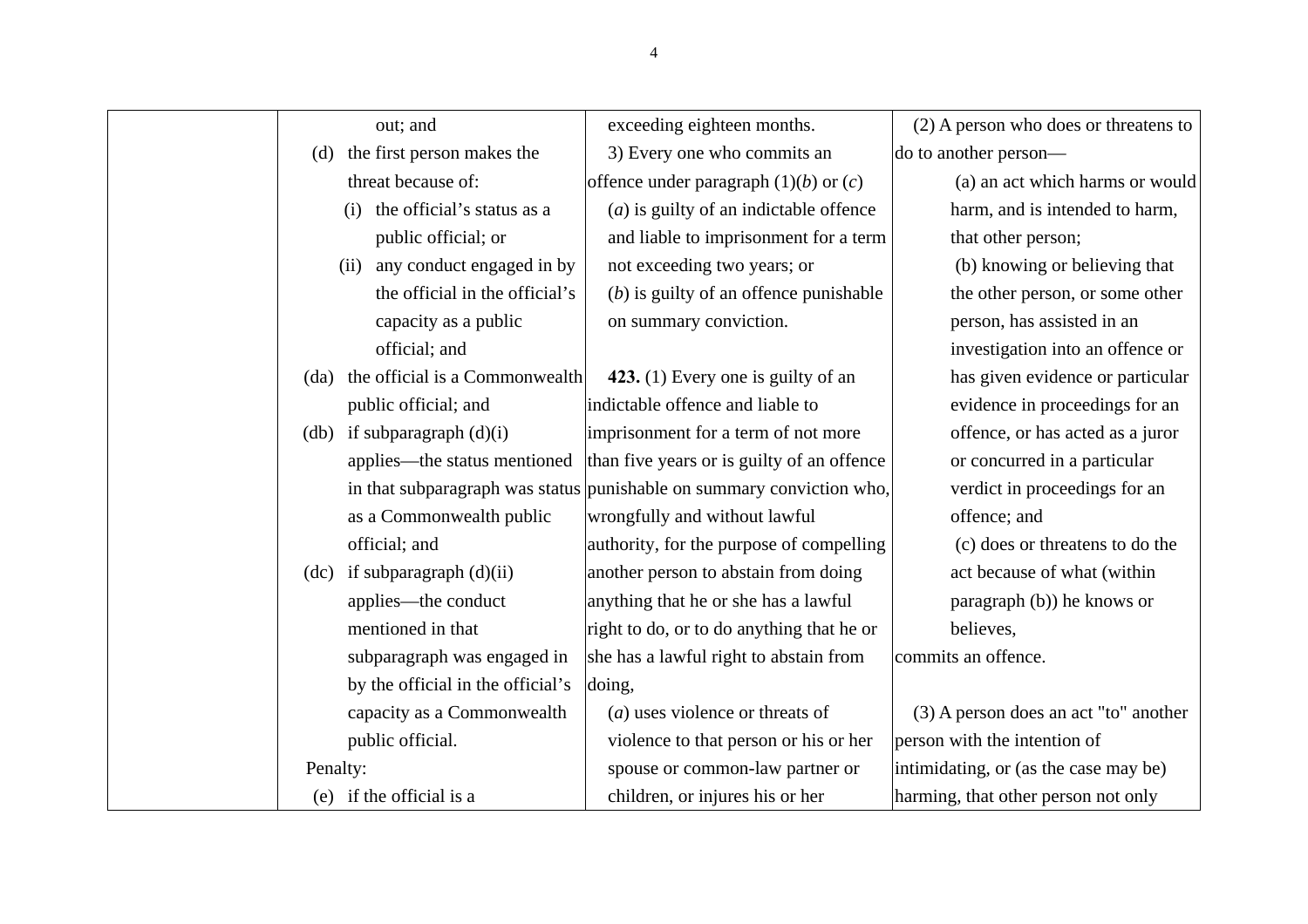| out; and                               | exceeding eighteen months.                                            | (2) A person who does or threatens to |
|----------------------------------------|-----------------------------------------------------------------------|---------------------------------------|
| the first person makes the<br>(d)      | 3) Every one who commits an                                           | do to another person—                 |
| threat because of:                     | offence under paragraph $(1)(b)$ or $(c)$                             | (a) an act which harms or would       |
| the official's status as a<br>(i)      | $(a)$ is guilty of an indictable offence                              | harm, and is intended to harm,        |
| public official; or                    | and liable to imprisonment for a term                                 | that other person;                    |
| (ii) any conduct engaged in by         | not exceeding two years; or                                           | (b) knowing or believing that         |
| the official in the official's         | $(b)$ is guilty of an offence punishable                              | the other person, or some other       |
| capacity as a public                   | on summary conviction.                                                | person, has assisted in an            |
| official; and                          |                                                                       | investigation into an offence or      |
| the official is a Commonwealth<br>(da) | 423. (1) Every one is guilty of an                                    | has given evidence or particular      |
| public official; and                   | indictable offence and liable to                                      | evidence in proceedings for an        |
| (db) if subparagraph $(d)(i)$          | imprisonment for a term of not more                                   | offence, or has acted as a juror      |
| applies—the status mentioned           | than five years or is guilty of an offence                            | or concurred in a particular          |
|                                        | in that subparagraph was status punishable on summary conviction who, | verdict in proceedings for an         |
| as a Commonwealth public               | wrongfully and without lawful                                         | offence; and                          |
| official; and                          | authority, for the purpose of compelling                              | (c) does or threatens to do the       |
| $(dc)$ if subparagraph $(d)(ii)$       | another person to abstain from doing                                  | act because of what (within           |
| applies—the conduct                    | anything that he or she has a lawful                                  | paragraph (b)) he knows or            |
| mentioned in that                      | right to do, or to do anything that he or                             | believes,                             |
| subparagraph was engaged in            | she has a lawful right to abstain from                                | commits an offence.                   |
| by the official in the official's      | doing,                                                                |                                       |
| capacity as a Commonwealth             | $(a)$ uses violence or threats of                                     | (3) A person does an act "to" another |
| public official.                       | violence to that person or his or her                                 | person with the intention of          |
| Penalty:                               | spouse or common-law partner or                                       | intimidating, or (as the case may be) |
| (e) if the official is a               | children, or injures his or her                                       | harming, that other person not only   |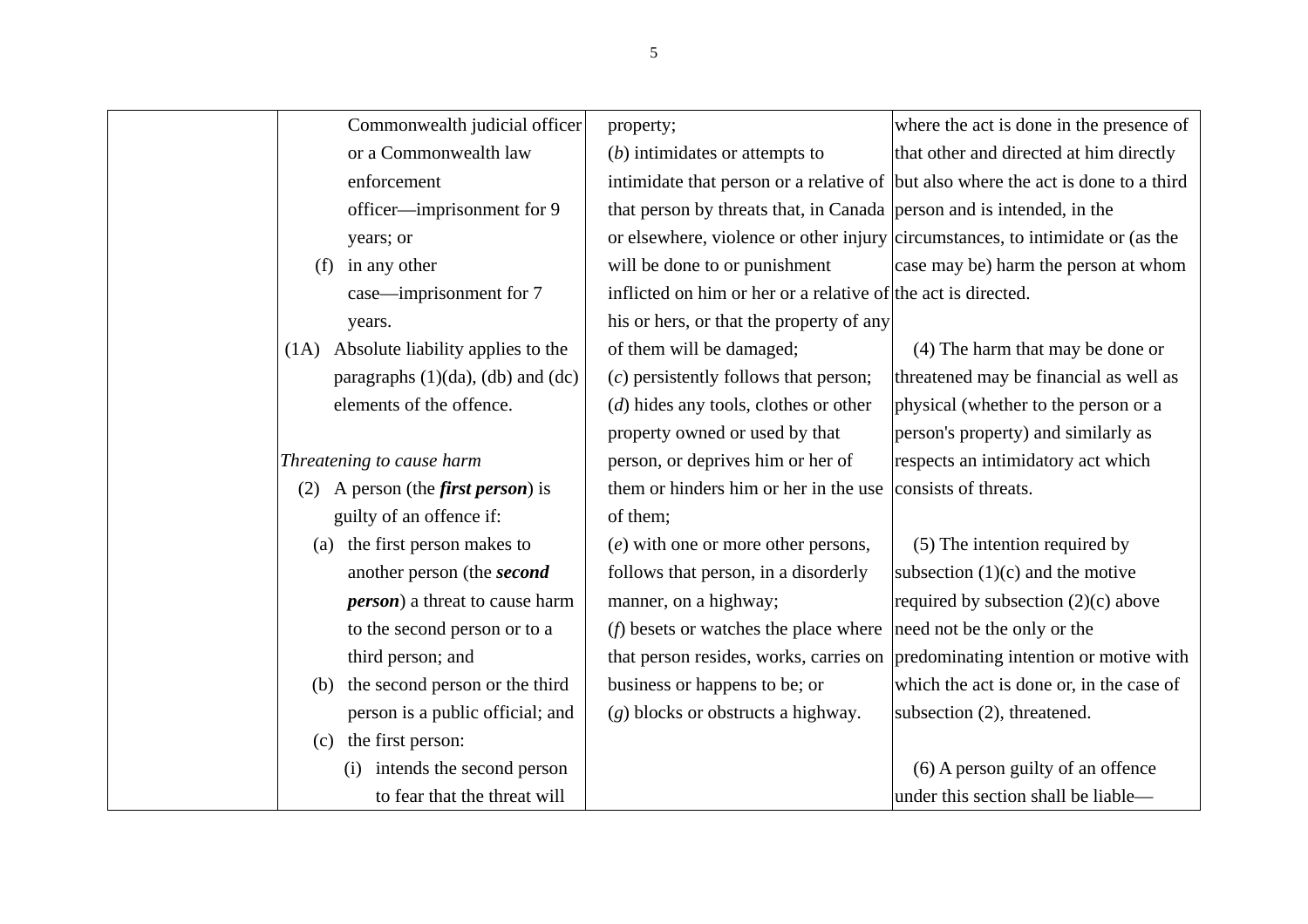| Commonwealth judicial officer                 | property;                                                                           | where the act is done in the presence of                                          |
|-----------------------------------------------|-------------------------------------------------------------------------------------|-----------------------------------------------------------------------------------|
| or a Commonwealth law                         | $(b)$ intimidates or attempts to                                                    | that other and directed at him directly                                           |
| enforcement                                   |                                                                                     | intimidate that person or a relative of but also where the act is done to a third |
| officer—imprisonment for 9                    | that person by threats that, in Canada person and is intended, in the               |                                                                                   |
| years; or                                     |                                                                                     | or elsewhere, violence or other injury circumstances, to intimidate or (as the    |
| in any other<br>(f)                           | will be done to or punishment                                                       | case may be) harm the person at whom                                              |
| case—imprisonment for 7                       | inflicted on him or her or a relative of the act is directed.                       |                                                                                   |
| years.                                        | his or hers, or that the property of any                                            |                                                                                   |
| Absolute liability applies to the<br>(1A)     | of them will be damaged;                                                            | (4) The harm that may be done or                                                  |
| paragraphs (1)(da), (db) and (dc)             | $(c)$ persistently follows that person;                                             | threatened may be financial as well as                                            |
| elements of the offence.                      | $(d)$ hides any tools, clothes or other                                             | physical (whether to the person or a                                              |
|                                               | property owned or used by that                                                      | person's property) and similarly as                                               |
| Threatening to cause harm                     | person, or deprives him or her of                                                   | respects an intimidatory act which                                                |
| A person (the <i>first person</i> ) is<br>(2) | them or hinders him or her in the use                                               | consists of threats.                                                              |
| guilty of an offence if:                      | of them;                                                                            |                                                                                   |
| the first person makes to<br>(a)              | $(e)$ with one or more other persons,                                               | (5) The intention required by                                                     |
| another person (the second                    | follows that person, in a disorderly                                                | subsection $(1)(c)$ and the motive                                                |
| <i>person</i> ) a threat to cause harm        | manner, on a highway;                                                               | required by subsection $(2)(c)$ above                                             |
| to the second person or to a                  | ( <i>f</i> ) besets or watches the place where $ {\rm need not be the only or the}$ |                                                                                   |
| third person; and                             |                                                                                     | that person resides, works, carries on predominating intention or motive with     |
| the second person or the third<br>(b)         | business or happens to be; or                                                       | which the act is done or, in the case of                                          |
| person is a public official; and              | $(g)$ blocks or obstructs a highway.                                                | subsection (2), threatened.                                                       |
| the first person:<br>(c)                      |                                                                                     |                                                                                   |
| intends the second person<br>(i)              |                                                                                     | (6) A person guilty of an offence                                                 |
| to fear that the threat will                  |                                                                                     | under this section shall be liable—                                               |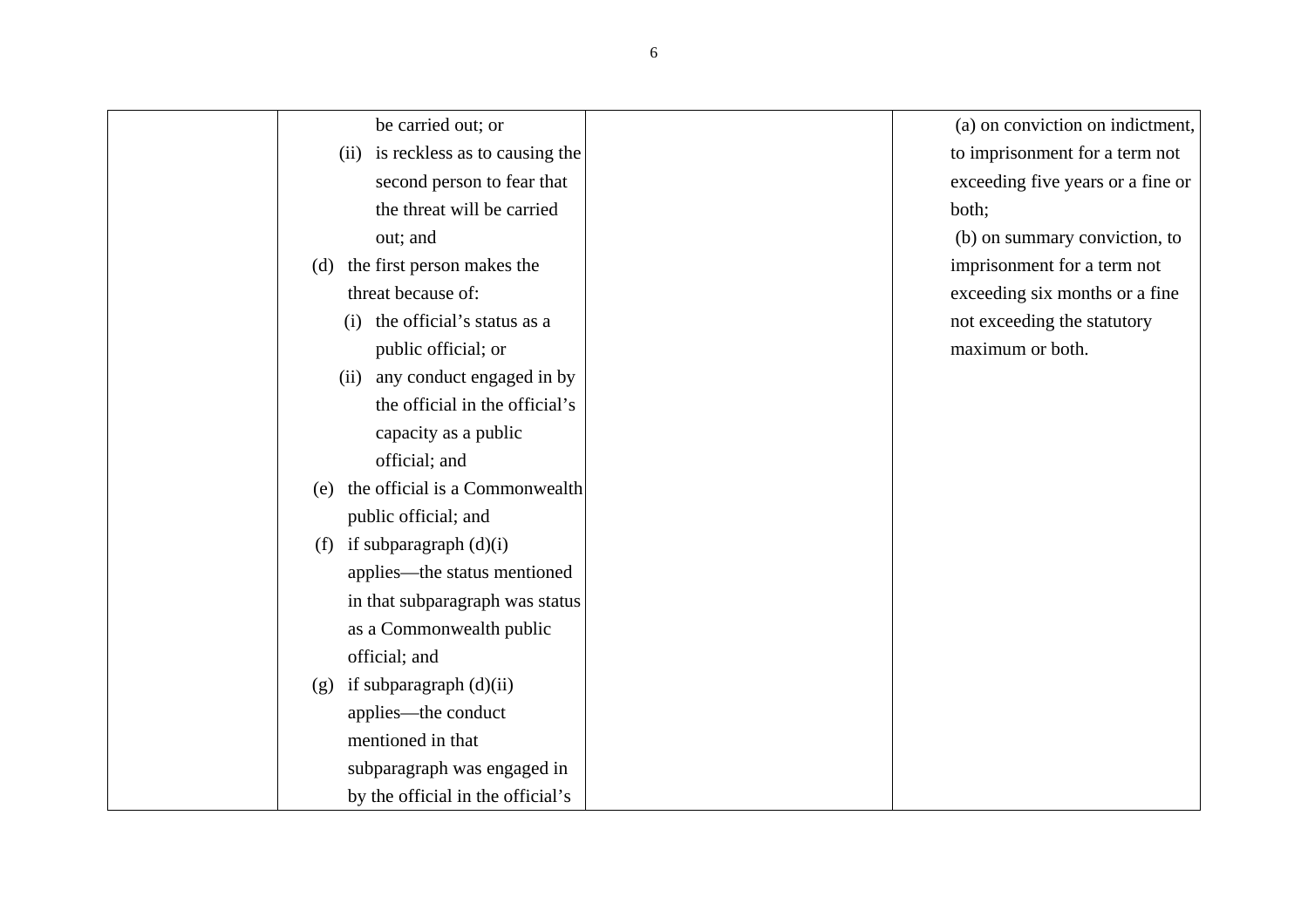| be carried out; or                    | (a) on conviction on indictment,  |
|---------------------------------------|-----------------------------------|
| (ii) is reckless as to causing the    | to imprisonment for a term not    |
| second person to fear that            | exceeding five years or a fine or |
| the threat will be carried            | both;                             |
| out; and                              | (b) on summary conviction, to     |
| the first person makes the<br>(d)     | imprisonment for a term not       |
| threat because of:                    | exceeding six months or a fine    |
| the official's status as a<br>(i)     | not exceeding the statutory       |
| public official; or                   | maximum or both.                  |
| (ii) any conduct engaged in by        |                                   |
| the official in the official's        |                                   |
| capacity as a public                  |                                   |
| official; and                         |                                   |
| the official is a Commonwealth<br>(e) |                                   |
| public official; and                  |                                   |
| (f) if subparagraph $(d)(i)$          |                                   |
| applies—the status mentioned          |                                   |
| in that subparagraph was status       |                                   |
| as a Commonwealth public              |                                   |
| official; and                         |                                   |
| $(g)$ if subparagraph $(d)(ii)$       |                                   |
| applies—the conduct                   |                                   |
| mentioned in that                     |                                   |
| subparagraph was engaged in           |                                   |
| by the official in the official's     |                                   |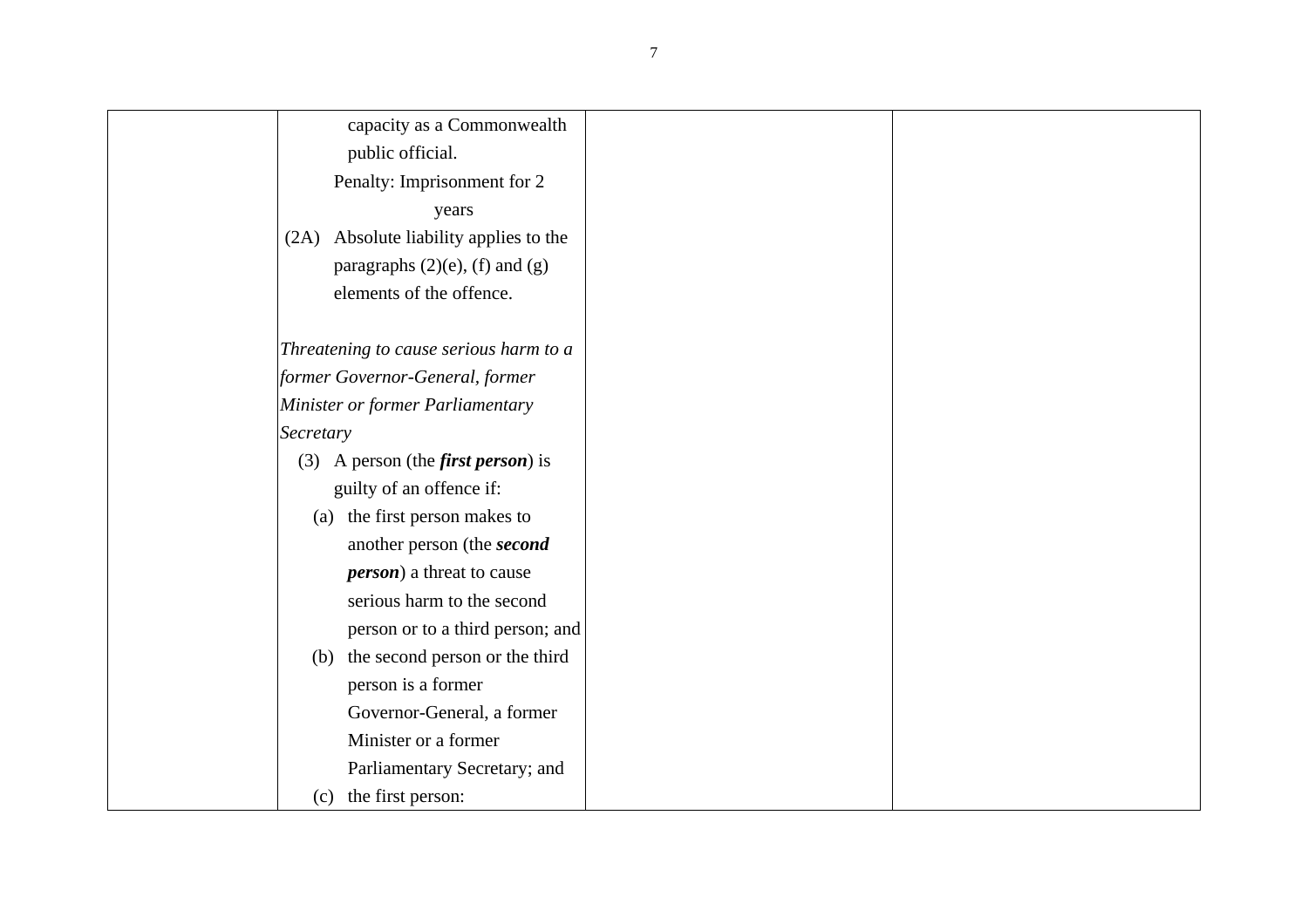| capacity as a Commonwealth                 |
|--------------------------------------------|
| public official.                           |
| Penalty: Imprisonment for 2                |
| years                                      |
| (2A) Absolute liability applies to the     |
| paragraphs $(2)(e)$ , $(f)$ and $(g)$      |
| elements of the offence.                   |
|                                            |
| Threatening to cause serious harm to a     |
| former Governor-General, former            |
| Minister or former Parliamentary           |
| Secretary                                  |
| (3) A person (the <i>first person</i> ) is |
| guilty of an offence if:                   |
| (a) the first person makes to              |
| another person (the second                 |
| <i>person</i> ) a threat to cause          |
| serious harm to the second                 |
| person or to a third person; and           |
| (b) the second person or the third         |
| person is a former                         |
| Governor-General, a former                 |
| Minister or a former                       |
| Parliamentary Secretary; and               |
| the first person:<br>(c)                   |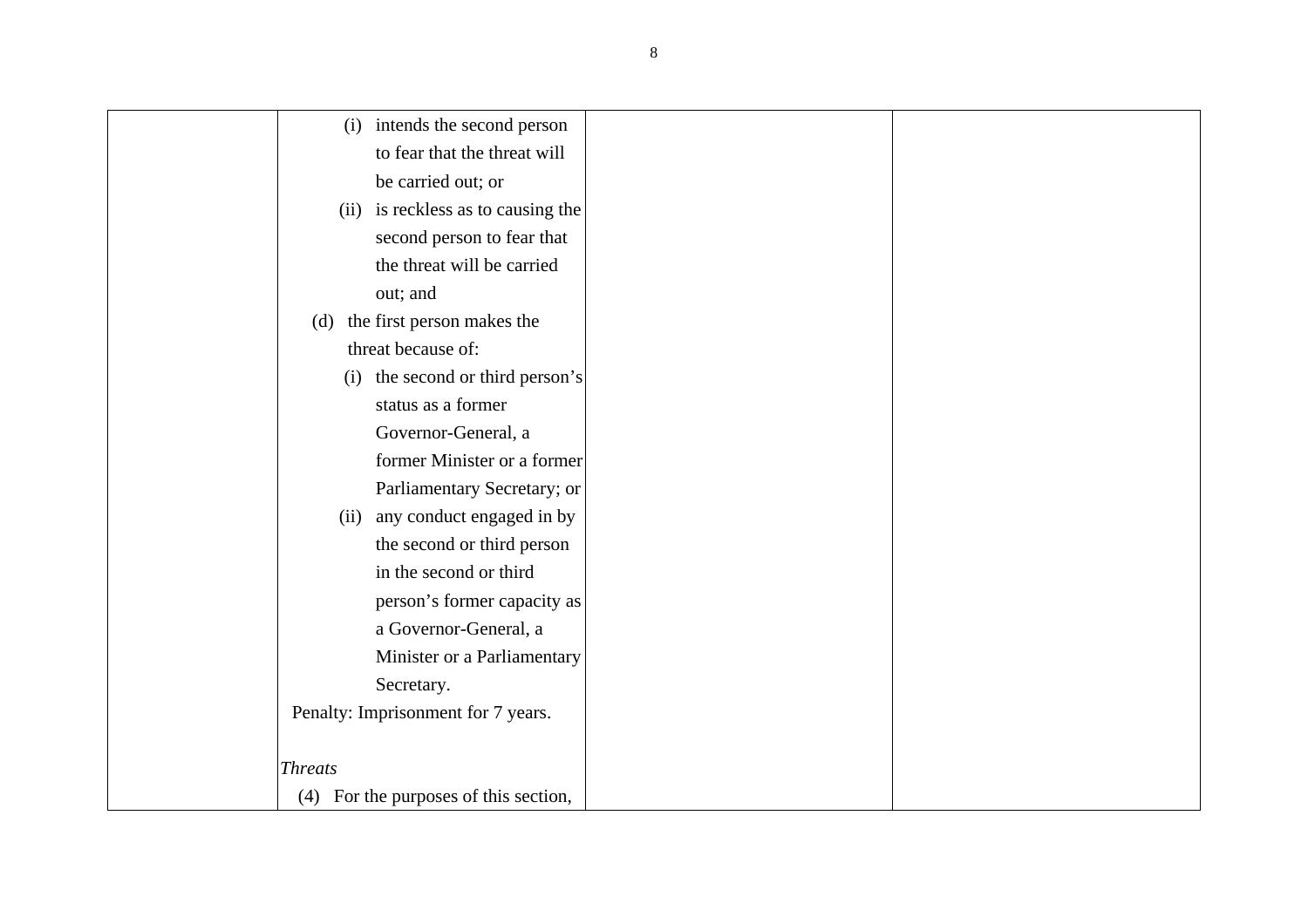| (i)            | intends the second person             |
|----------------|---------------------------------------|
|                | to fear that the threat will          |
|                | be carried out; or                    |
|                | (ii) is reckless as to causing the    |
|                | second person to fear that            |
|                | the threat will be carried            |
|                | out; and                              |
| (d)            | the first person makes the            |
|                | threat because of:                    |
| (i)            | the second or third person's          |
|                | status as a former                    |
|                | Governor-General, a                   |
|                | former Minister or a former           |
|                | Parliamentary Secretary; or           |
| (ii)           | any conduct engaged in by             |
|                | the second or third person            |
|                | in the second or third                |
|                | person's former capacity as           |
|                | a Governor-General, a                 |
|                | Minister or a Parliamentary           |
|                | Secretary.                            |
|                | Penalty: Imprisonment for 7 years.    |
|                |                                       |
| <b>Threats</b> |                                       |
|                | (4) For the purposes of this section, |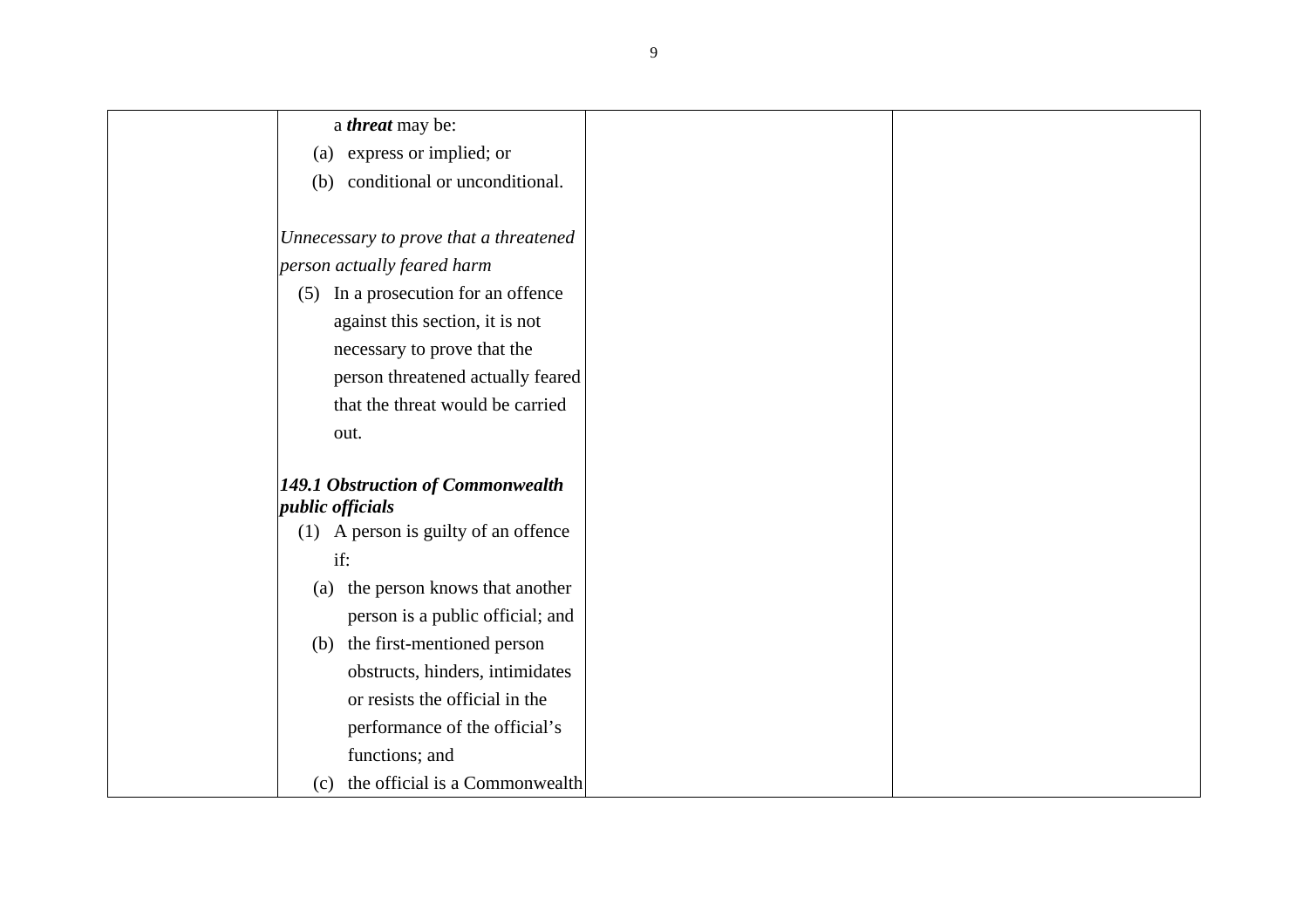<sup>a</sup>*threat* may be:

- (a) express or implied; or
- (b) conditional or unconditional.

*Unnecessary to prove that a threatened person actually feared harm* 

 (5) In a prosecution for an offence against this section, it is not necessary to prove that the person threatened actually feared that the threat would be carried out.

#### *149.1 Obstruction of Commonwealth public officials*

- (1) A person is guilty of an offence if:
	- (a) the person knows that another person is a public official; and
- (b) the first-mentioned person obstructs, hinders, intimidates or resists the official in the performance of the official's functions; and
- (c) the official is a Commonwealth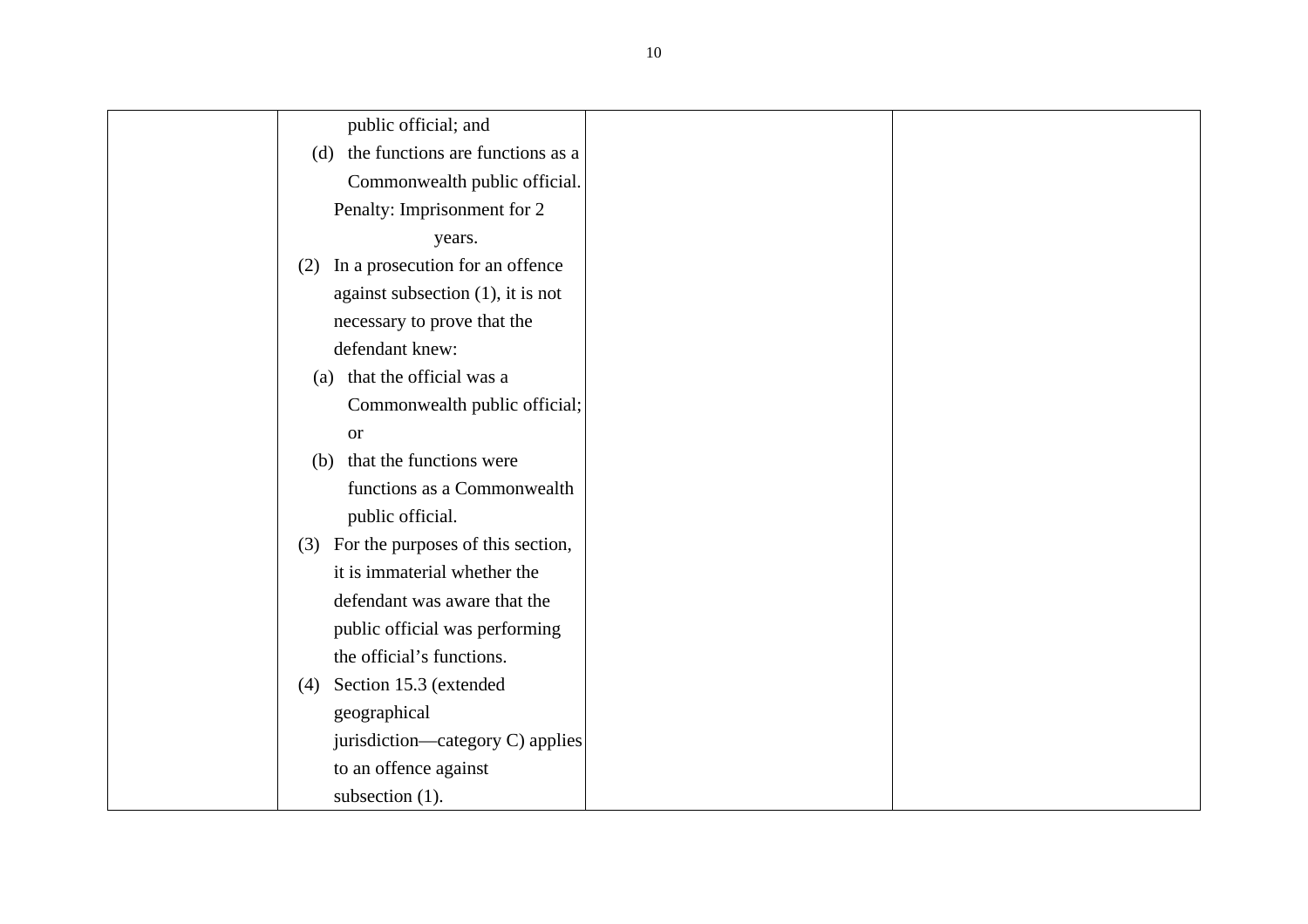public official; and

 (d) the functions are functions as a Commonwealth public official. Penalty: Imprisonment for 2

years.

- (2) In a prosecution for an offence against subsection (1), it is not necessary to prove that the defendant knew:
	- (a) that the official was a Commonwealth public official; or
- (b) that the functions were functions as a Commonwealth public official.
- (3) For the purposes of this section, it is immaterial whether the defendant was aware that the public official was performing the official's functions.
- (4) Section 15.3 (extended geographical jurisdiction—category C) applies to an offence against subsection (1).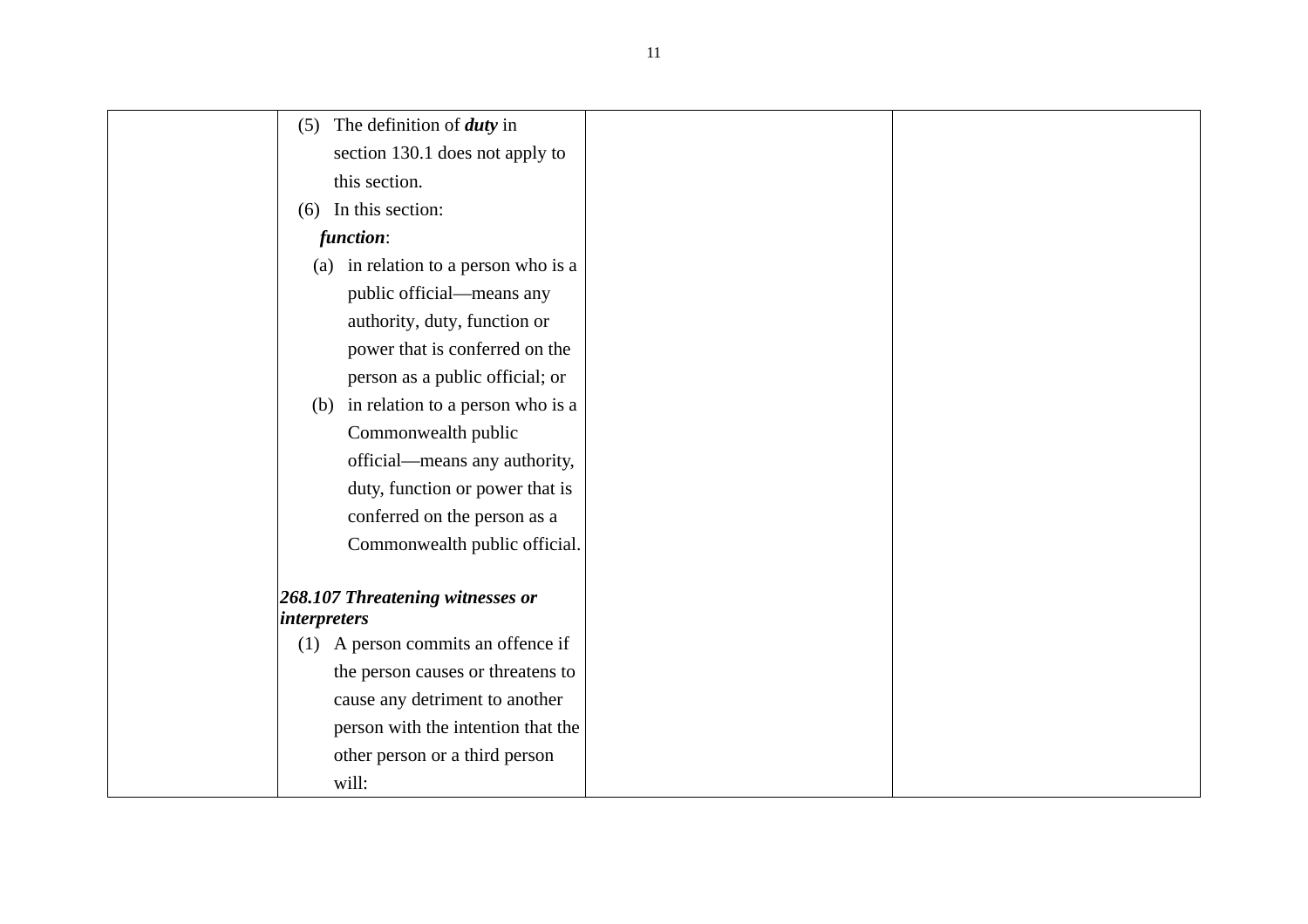| The definition of <i>duty</i> in<br>(5)                 |  |
|---------------------------------------------------------|--|
| section 130.1 does not apply to                         |  |
| this section.                                           |  |
| In this section:<br>(6)                                 |  |
| function:                                               |  |
| (a) in relation to a person who is a                    |  |
| public official-means any                               |  |
| authority, duty, function or                            |  |
| power that is conferred on the                          |  |
| person as a public official; or                         |  |
| (b) in relation to a person who is a                    |  |
| Commonwealth public                                     |  |
| official-means any authority,                           |  |
| duty, function or power that is                         |  |
| conferred on the person as a                            |  |
| Commonwealth public official.                           |  |
|                                                         |  |
| 268.107 Threatening witnesses or<br><i>interpreters</i> |  |
| A person commits an offence if<br>(1)                   |  |
| the person causes or threatens to                       |  |
| cause any detriment to another                          |  |
| person with the intention that the                      |  |
| other person or a third person                          |  |
| will:                                                   |  |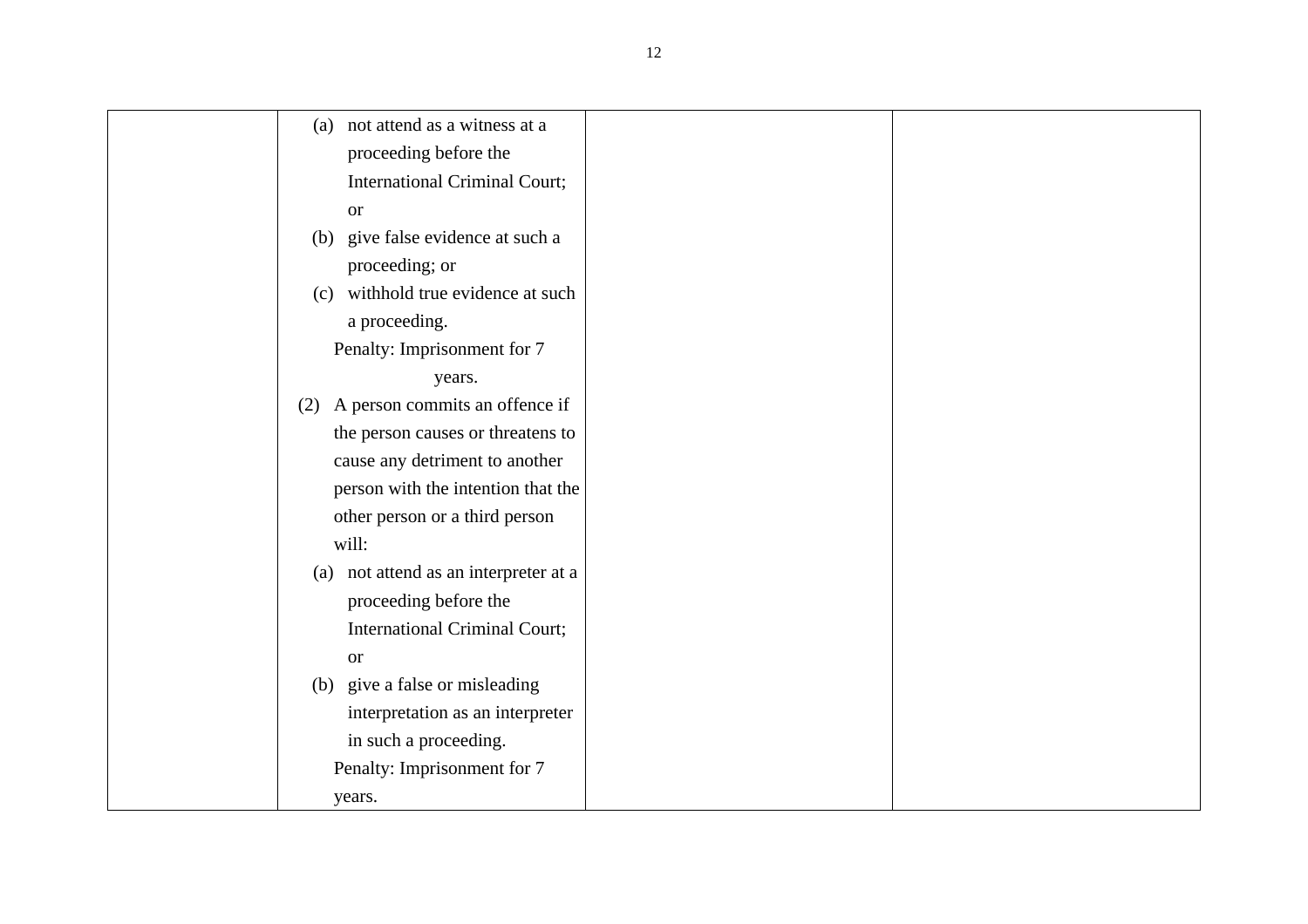| not attend as a witness at a<br>(a)   |
|---------------------------------------|
| proceeding before the                 |
| <b>International Criminal Court;</b>  |
| <b>or</b>                             |
| (b) give false evidence at such a     |
| proceeding; or                        |
| (c) withhold true evidence at such    |
| a proceeding.                         |
| Penalty: Imprisonment for 7           |
| years.                                |
| A person commits an offence if<br>(2) |
| the person causes or threatens to     |
| cause any detriment to another        |
| person with the intention that the    |
| other person or a third person        |
| will:                                 |
| (a) not attend as an interpreter at a |
| proceeding before the                 |
| <b>International Criminal Court;</b>  |
| <b>or</b>                             |
| (b) give a false or misleading        |
| interpretation as an interpreter      |
| in such a proceeding.                 |
| Penalty: Imprisonment for 7           |
| years.                                |